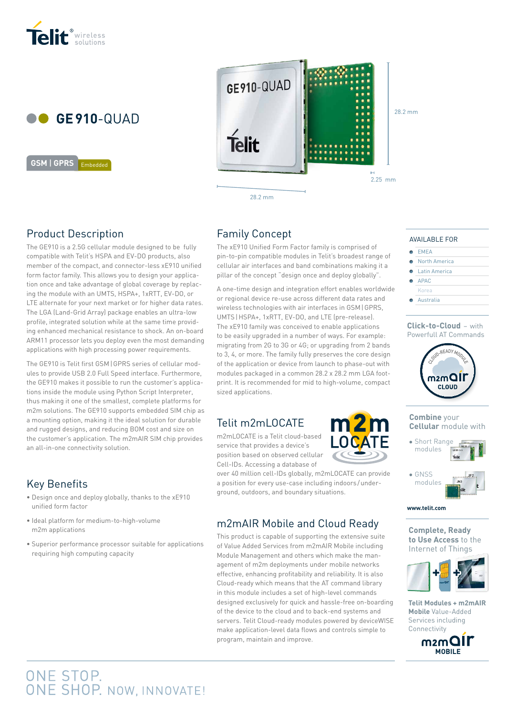



Embedded **GSM** | **GPRS GSM** | **GPRS** Embedded



28.2 mm

# Product Description

The GE910 is a 2.5G cellular module designed to be fully compatible with Telit's HSPA and EV-DO products, also member of the compact, and connector-less xE910 unified form factor family. This allows you to design your application once and take advantage of global coverage by replacing the module with an UMTS, HSPA+, 1xRTT, EV-DO, or LTE alternate for your next market or for higher data rates. The LGA (Land-Grid Array) package enables an ultra-low profile, integrated solution while at the same time providing enhanced mechanical resistance to shock. An on-board ARM11 processor lets you deploy even the most demanding applications with high processing power requirements.

The GE910 is Telit first GSM|GPRS series of cellular modules to provide USB 2.0 Full Speed interface. Furthermore, the GE910 makes it possible to run the customer's applications inside the module using Python Script Interpreter, thus making it one of the smallest, complete platforms for m2m solutions. The GE910 supports embedded SIM chip as a mounting option, making it the ideal solution for durable and rugged designs, and reducing BOM cost and size on the customer's application. The m2mAIR SIM chip provides an all-in-one connectivity solution.

# Key Benefits

- Design once and deploy globally, thanks to the xE910 unified form factor
- Ideal platform for medium-to-high-volume m2m applications
- Superior performance processor suitable for applications requiring high computing capacity

# Family Concept

The xE910 Unified Form Factor family is comprised of pin-to-pin compatible modules in Telit's broadest range of cellular air interfaces and band combinations making it a pillar of the concept "design once and deploy globally".

A one-time design and integration effort enables worldwide or regional device re-use across different data rates and wireless technologies with air interfaces in GSM|GPRS, UMTS|HSPA+, 1xRTT, EV-DO, and LTE (pre-release). The xE910 family was conceived to enable applications to be easily upgraded in a number of ways. For example: migrating from 2G to 3G or 4G; or upgrading from 2 bands to 3, 4, or more. The family fully preserves the core design of the application or device from launch to phase-out with modules packaged in a common 28.2 x 28.2 mm LGA footprint. It is recommended for mid to high-volume, compact sized applications.

# Telit m2mLOCATE

m2mLOCATE is a Telit cloud-based service that provides a device's position based on observed cellular Cell-IDs. Accessing a database of

over 40 million cell-IDs globally, m2mLOCATE can provide a position for every use-case including indoors/underground, outdoors, and boundary situations.

 $m2m$ 

**\_OCATE** 

# m2mAIR Mobile and Cloud Ready

This product is capable of supporting the extensive suite of Value Added Services from m2mAIR Mobile including Module Management and others which make the management of m2m deployments under mobile networks effective, enhancing profitability and reliability. It is also Cloud-ready which means that the AT command library in this module includes a set of high-level commands designed exclusively for quick and hassle-free on-boarding of the device to the cloud and to back-end systems and servers. Telit Cloud-ready modules powered by deviceWISE make application-level data flows and controls simple to program, maintain and improve.

#### AVAILABLE FOR

- $E = EMEA$
- North America
- Latin America APAC
- Korea
- **Australia**
- 

#### **Click-to-Cloud** – with Powerfull AT Commands



**Combine** your **Cellular** module with





**www.telit.com**

**Complete, Ready to Use Access** to the Internet of Things



**Telit Modules + m2mAIR Mobile** Value-Added Services including Connectivity



# ONE STOP.<br>ONE SHOP. NOW, INNOVATE!